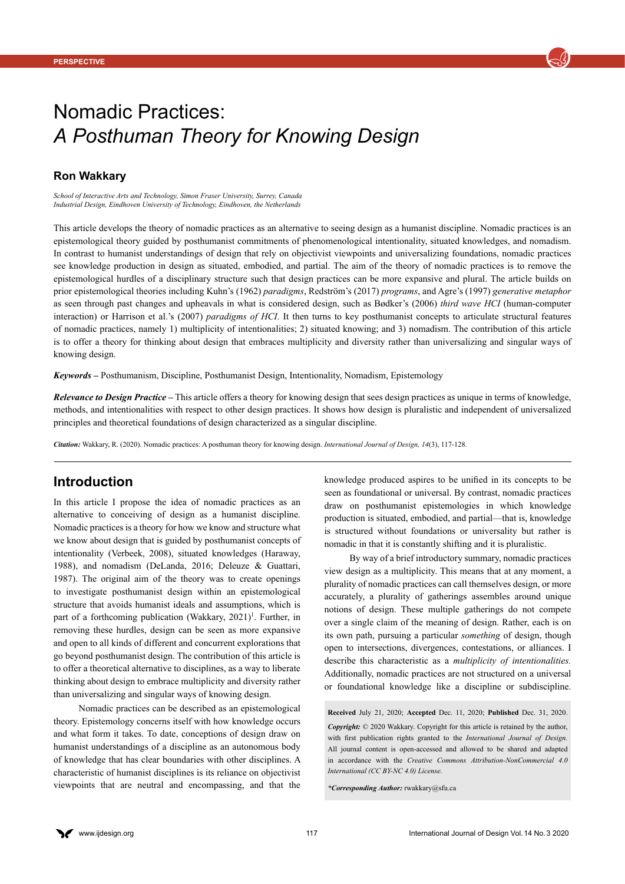

# Nomadic Practices: *A Posthuman Theory for Knowing Design*

### **Ron Wakkary**

*School of Interactive Arts and Technology, Simon Fraser University, Surrey, Canada Industrial Design, Eindhoven University of Technology, Eindhoven, the Netherlands*

This article develops the theory of nomadic practices as an alternative to seeing design as a humanist discipline. Nomadic practices is an epistemological theory guided by posthumanist commitments of phenomenological intentionality, situated knowledges, and nomadism. In contrast to humanist understandings of design that rely on objectivist viewpoints and universalizing foundations, nomadic practices see knowledge production in design as situated, embodied, and partial. The aim of the theory of nomadic practices is to remove the epistemological hurdles of a disciplinary structure such that design practices can be more expansive and plural. The article builds on prior epistemological theories including Kuhn's (1962) *paradigms*, Redström's (2017) *programs*, and Agre's (1997) *generative metaphor* as seen through past changes and upheavals in what is considered design, such as Bødker's (2006) *third wave HCI* (human-computer interaction) or Harrison et al.'s (2007) *paradigms of HCI*. It then turns to key posthumanist concepts to articulate structural features of nomadic practices, namely 1) multiplicity of intentionalities; 2) situated knowing; and 3) nomadism. The contribution of this article is to offer a theory for thinking about design that embraces multiplicity and diversity rather than universalizing and singular ways of knowing design.

*Keywords –* Posthumanism, Discipline, Posthumanist Design, Intentionality, Nomadism, Epistemology

*Relevance to Design Practice –* This article offers a theory for knowing design that sees design practices as unique in terms of knowledge, methods, and intentionalities with respect to other design practices. It shows how design is pluralistic and independent of universalized principles and theoretical foundations of design characterized as a singular discipline.

*Citation:* Wakkary, R. (2020). Nomadic practices: A posthuman theory for knowing design. *International Journal of Design, 14*(3), 117-128.

### **Introduction**

In this article I propose the idea of nomadic practices as an alternative to conceiving of design as a humanist discipline. Nomadic practices is a theory for how we know and structure what we know about design that is guided by posthumanist concepts of intentionality (Verbeek, 2008), situated knowledges (Haraway, 1988), and nomadism (DeLanda, 2016; Deleuze & Guattari, 1987). The original aim of the theory was to create openings to investigate posthumanist design within an epistemological structure that avoids humanist ideals and assumptions, which is part of a forthcoming publication (Wakkary, 2021)<sup>1</sup>. Further, in removing these hurdles, design can be seen as more expansive and open to all kinds of different and concurrent explorations that go beyond posthumanist design. The contribution of this article is to offer a theoretical alternative to disciplines, as a way to liberate thinking about design to embrace multiplicity and diversity rather than universalizing and singular ways of knowing design.

<span id="page-0-0"></span>Nomadic practices can be described as an epistemological theory. Epistemology concerns itself with how knowledge occurs and what form it takes. To date, conceptions of design draw on humanist understandings of a discipline as an autonomous body of knowledge that has clear boundaries with other disciplines. A characteristic of humanist disciplines is its reliance on objectivist viewpoints that are neutral and encompassing, and that the knowledge produced aspires to be unified in its concepts to be seen as foundational or universal. By contrast, nomadic practices draw on posthumanist epistemologies in which knowledge production is situated, embodied, and partial—that is, knowledge is structured without foundations or universality but rather is nomadic in that it is constantly shifting and it is pluralistic.

By way of a brief introductory summary, nomadic practices view design as a multiplicity. This means that at any moment, a plurality of nomadic practices can call themselves design, or more accurately, a plurality of gatherings assembles around unique notions of design. These multiple gatherings do not compete over a single claim of the meaning of design. Rather, each is on its own path, pursuing a particular *something* of design, though open to intersections, divergences, contestations, or alliances. I describe this characteristic as a *multiplicity of intentionalities.*  Additionally, nomadic practices are not structured on a universal or foundational knowledge like a discipline or subdiscipline.

**Received** July 21, 2020; **Accepted** Dec. 11, 2020; **Published** Dec. 31, 2020. *Copyright:* © 2020 Wakkary. Copyright for this article is retained by the author, with first publication rights granted to the *International Journal of Design.* All journal content is open-accessed and allowed to be shared and adapted in accordance with the *Creative Commons Attribution-NonCommercial 4.0 International (CC BY-NC 4.0) License.*

*\*Corresponding Author:* [rwakkary@sfu.ca](mailto:rwakkary%40sfu.ca?subject=)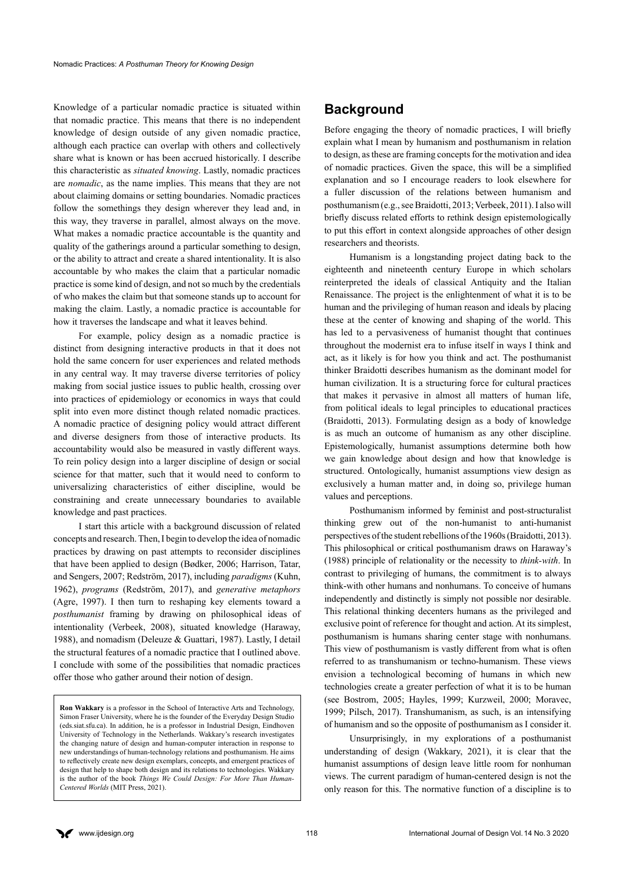Knowledge of a particular nomadic practice is situated within that nomadic practice. This means that there is no independent knowledge of design outside of any given nomadic practice, although each practice can overlap with others and collectively share what is known or has been accrued historically. I describe this characteristic as *situated knowing*. Lastly, nomadic practices are *nomadic*, as the name implies. This means that they are not about claiming domains or setting boundaries. Nomadic practices follow the somethings they design wherever they lead and, in this way, they traverse in parallel, almost always on the move. What makes a nomadic practice accountable is the quantity and quality of the gatherings around a particular something to design, or the ability to attract and create a shared intentionality. It is also accountable by who makes the claim that a particular nomadic practice is some kind of design, and not so much by the credentials of who makes the claim but that someone stands up to account for making the claim. Lastly, a nomadic practice is accountable for how it traverses the landscape and what it leaves behind.

For example, policy design as a nomadic practice is distinct from designing interactive products in that it does not hold the same concern for user experiences and related methods in any central way. It may traverse diverse territories of policy making from social justice issues to public health, crossing over into practices of epidemiology or economics in ways that could split into even more distinct though related nomadic practices. A nomadic practice of designing policy would attract different and diverse designers from those of interactive products. Its accountability would also be measured in vastly different ways. To rein policy design into a larger discipline of design or social science for that matter, such that it would need to conform to universalizing characteristics of either discipline, would be constraining and create unnecessary boundaries to available knowledge and past practices.

I start this article with a background discussion of related concepts and research. Then, I begin to develop the idea of nomadic practices by drawing on past attempts to reconsider disciplines that have been applied to design (Bødker, 2006; Harrison, Tatar, and Sengers, 2007; Redström, 2017), including *paradigms* (Kuhn, 1962), *programs* (Redström, 2017), and *generative metaphors*  (Agre, 1997). I then turn to reshaping key elements toward a *posthumanist* framing by drawing on philosophical ideas of intentionality (Verbeek, 2008), situated knowledge (Haraway, 1988), and nomadism (Deleuze & Guattari, 1987). Lastly, I detail the structural features of a nomadic practice that I outlined above. I conclude with some of the possibilities that nomadic practices offer those who gather around their notion of design.

**Ron Wakkary** is a professor in the School of Interactive Arts and Technology, Simon Fraser University, where he is the founder of the Everyday Design Studio (eds.siat.sfu.ca). In addition, he is a professor in Industrial Design, Eindhoven University of Technology in the Netherlands. Wakkary's research investigates the changing nature of design and human-computer interaction in response to new understandings of human-technology relations and posthumanism. He aims to reflectively create new design exemplars, concepts, and emergent practices of design that help to shape both design and its relations to technologies. Wakkary is the author of the book *Things We Could Design: For More Than Human-Centered Worlds* (MIT Press, 2021).

# **Background**

Before engaging the theory of nomadic practices, I will briefly explain what I mean by humanism and posthumanism in relation to design, as these are framing concepts for the motivation and idea of nomadic practices. Given the space, this will be a simplified explanation and so I encourage readers to look elsewhere for a fuller discussion of the relations between humanism and posthumanism (e.g., see Braidotti, 2013; Verbeek, 2011). I also will briefly discuss related efforts to rethink design epistemologically to put this effort in context alongside approaches of other design researchers and theorists.

Humanism is a longstanding project dating back to the eighteenth and nineteenth century Europe in which scholars reinterpreted the ideals of classical Antiquity and the Italian Renaissance. The project is the enlightenment of what it is to be human and the privileging of human reason and ideals by placing these at the center of knowing and shaping of the world. This has led to a pervasiveness of humanist thought that continues throughout the modernist era to infuse itself in ways I think and act, as it likely is for how you think and act. The posthumanist thinker Braidotti describes humanism as the dominant model for human civilization. It is a structuring force for cultural practices that makes it pervasive in almost all matters of human life, from political ideals to legal principles to educational practices (Braidotti, 2013). Formulating design as a body of knowledge is as much an outcome of humanism as any other discipline. Epistemologically, humanist assumptions determine both how we gain knowledge about design and how that knowledge is structured. Ontologically, humanist assumptions view design as exclusively a human matter and, in doing so, privilege human values and perceptions.

Posthumanism informed by feminist and post-structuralist thinking grew out of the non-humanist to anti-humanist perspectives of the student rebellions of the 1960s (Braidotti, 2013). This philosophical or critical posthumanism draws on Haraway's (1988) principle of relationality or the necessity to *think-with*. In contrast to privileging of humans, the commitment is to always think-with other humans and nonhumans. To conceive of humans independently and distinctly is simply not possible nor desirable. This relational thinking decenters humans as the privileged and exclusive point of reference for thought and action. At its simplest, posthumanism is humans sharing center stage with nonhumans. This view of posthumanism is vastly different from what is often referred to as transhumanism or techno-humanism. These views envision a technological becoming of humans in which new technologies create a greater perfection of what it is to be human (see Bostrom, 2005; Hayles, 1999; Kurzweil, 2000; Moravec, 1999; Pilsch, 2017). Transhumanism, as such, is an intensifying of humanism and so the opposite of posthumanism as I consider it.

Unsurprisingly, in my explorations of a posthumanist understanding of design (Wakkary, 2021), it is clear that the humanist assumptions of design leave little room for nonhuman views. The current paradigm of human-centered design is not the only reason for this. The normative function of a discipline is to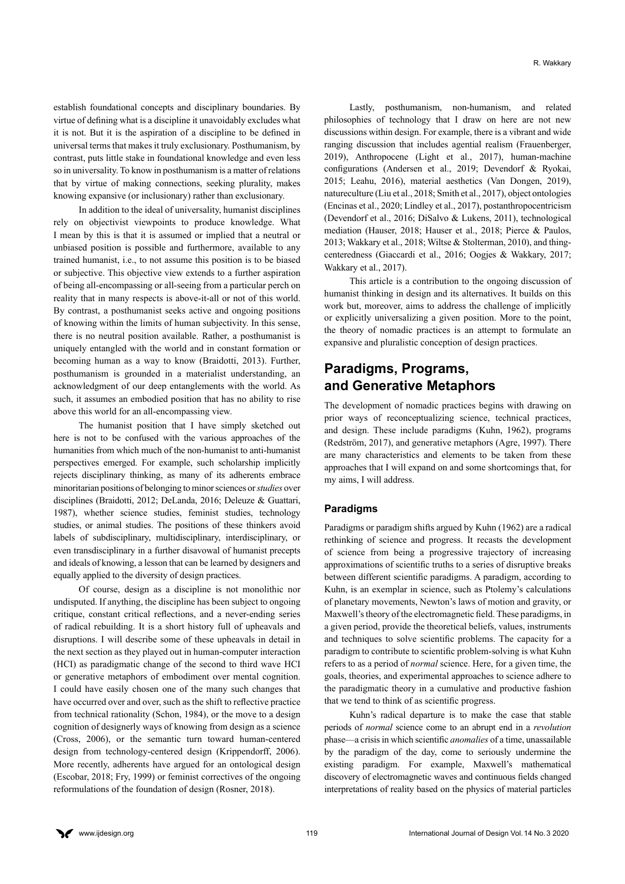establish foundational concepts and disciplinary boundaries. By virtue of defining what is a discipline it unavoidably excludes what it is not. But it is the aspiration of a discipline to be defined in universal terms that makes it truly exclusionary. Posthumanism, by contrast, puts little stake in foundational knowledge and even less so in universality. To know in posthumanism is a matter of relations that by virtue of making connections, seeking plurality, makes knowing expansive (or inclusionary) rather than exclusionary.

In addition to the ideal of universality, humanist disciplines rely on objectivist viewpoints to produce knowledge. What I mean by this is that it is assumed or implied that a neutral or unbiased position is possible and furthermore, available to any trained humanist, i.e., to not assume this position is to be biased or subjective. This objective view extends to a further aspiration of being all-encompassing or all-seeing from a particular perch on reality that in many respects is above-it-all or not of this world. By contrast, a posthumanist seeks active and ongoing positions of knowing within the limits of human subjectivity. In this sense, there is no neutral position available. Rather, a posthumanist is uniquely entangled with the world and in constant formation or becoming human as a way to know (Braidotti, 2013). Further, posthumanism is grounded in a materialist understanding, an acknowledgment of our deep entanglements with the world. As such, it assumes an embodied position that has no ability to rise above this world for an all-encompassing view.

The humanist position that I have simply sketched out here is not to be confused with the various approaches of the humanities from which much of the non-humanist to anti-humanist perspectives emerged. For example, such scholarship implicitly rejects disciplinary thinking, as many of its adherents embrace minoritarian positions of belonging to minor sciences or *studies* over disciplines (Braidotti, 2012; DeLanda, 2016; Deleuze & Guattari, 1987), whether science studies, feminist studies, technology studies, or animal studies. The positions of these thinkers avoid labels of subdisciplinary, multidisciplinary, interdisciplinary, or even transdisciplinary in a further disavowal of humanist precepts and ideals of knowing, a lesson that can be learned by designers and equally applied to the diversity of design practices.

Of course, design as a discipline is not monolithic nor undisputed. If anything, the discipline has been subject to ongoing critique, constant critical reflections, and a never-ending series of radical rebuilding. It is a short history full of upheavals and disruptions. I will describe some of these upheavals in detail in the next section as they played out in human-computer interaction (HCI) as paradigmatic change of the second to third wave HCI or generative metaphors of embodiment over mental cognition. I could have easily chosen one of the many such changes that have occurred over and over, such as the shift to reflective practice from technical rationality (Schon, 1984), or the move to a design cognition of designerly ways of knowing from design as a science (Cross, 2006), or the semantic turn toward human-centered design from technology-centered design (Krippendorff, 2006). More recently, adherents have argued for an ontological design (Escobar, 2018; Fry, 1999) or feminist correctives of the ongoing reformulations of the foundation of design (Rosner, 2018).

Lastly, posthumanism, non-humanism, and related philosophies of technology that I draw on here are not new discussions within design. For example, there is a vibrant and wide ranging discussion that includes agential realism (Frauenberger, 2019), Anthropocene (Light et al., 2017), human-machine configurations (Andersen et al., 2019; Devendorf & Ryokai, 2015; Leahu, 2016), material aesthetics (Van Dongen, 2019), natureculture (Liu et al., 2018; Smith et al., 2017), object ontologies (Encinas et al., 2020; Lindley et al., 2017), postanthropocentricism (Devendorf et al., 2016; DiSalvo & Lukens, 2011), technological mediation (Hauser, 2018; Hauser et al., 2018; Pierce & Paulos, 2013; Wakkary et al., 2018; Wiltse & Stolterman, 2010), and thingcenteredness (Giaccardi et al., 2016; Oogjes & Wakkary, 2017; Wakkary et al., 2017).

This article is a contribution to the ongoing discussion of humanist thinking in design and its alternatives. It builds on this work but, moreover, aims to address the challenge of implicitly or explicitly universalizing a given position. More to the point, the theory of nomadic practices is an attempt to formulate an expansive and pluralistic conception of design practices.

# **Paradigms, Programs, and Generative Metaphors**

The development of nomadic practices begins with drawing on prior ways of reconceptualizing science, technical practices, and design. These include paradigms (Kuhn, 1962), programs (Redström, 2017), and generative metaphors (Agre, 1997). There are many characteristics and elements to be taken from these approaches that I will expand on and some shortcomings that, for my aims, I will address.

#### **Paradigms**

Paradigms or paradigm shifts argued by Kuhn (1962) are a radical rethinking of science and progress. It recasts the development of science from being a progressive trajectory of increasing approximations of scientific truths to a series of disruptive breaks between different scientific paradigms. A paradigm, according to Kuhn, is an exemplar in science, such as Ptolemy's calculations of planetary movements, Newton's laws of motion and gravity, or Maxwell's theory of the electromagnetic field. These paradigms, in a given period, provide the theoretical beliefs, values, instruments and techniques to solve scientific problems. The capacity for a paradigm to contribute to scientific problem-solving is what Kuhn refers to as a period of *normal* science. Here, for a given time, the goals, theories, and experimental approaches to science adhere to the paradigmatic theory in a cumulative and productive fashion that we tend to think of as scientific progress.

Kuhn's radical departure is to make the case that stable periods of *normal* science come to an abrupt end in a *revolution*  phase—a crisis in which scientific *anomalies* of a time, unassailable by the paradigm of the day, come to seriously undermine the existing paradigm. For example, Maxwell's mathematical discovery of electromagnetic waves and continuous fields changed interpretations of reality based on the physics of material particles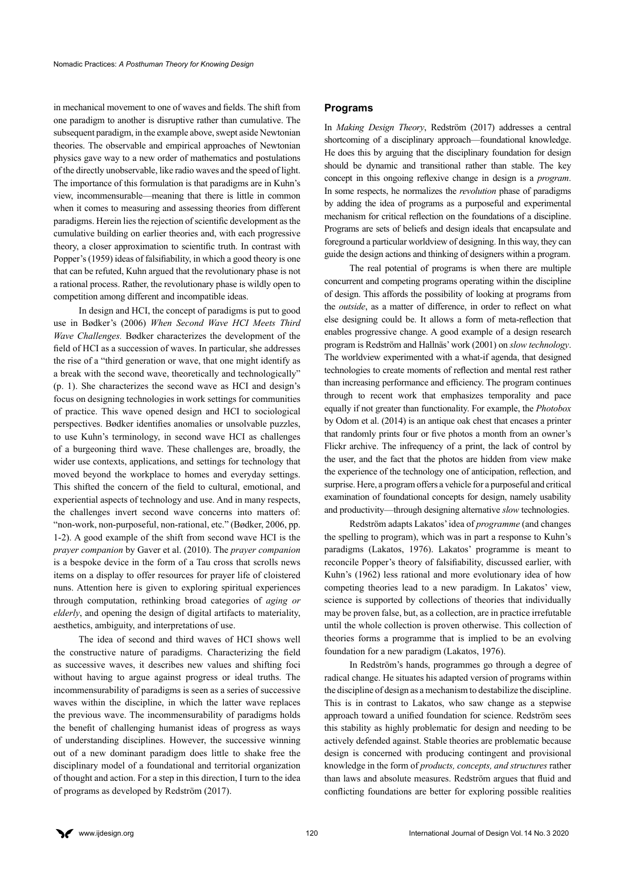in mechanical movement to one of waves and fields. The shift from one paradigm to another is disruptive rather than cumulative. The subsequent paradigm, in the example above, swept aside Newtonian theories. The observable and empirical approaches of Newtonian physics gave way to a new order of mathematics and postulations of the directly unobservable, like radio waves and the speed of light. The importance of this formulation is that paradigms are in Kuhn's view, incommensurable—meaning that there is little in common when it comes to measuring and assessing theories from different paradigms. Herein lies the rejection of scientific development as the cumulative building on earlier theories and, with each progressive theory, a closer approximation to scientific truth. In contrast with Popper's (1959) ideas of falsifiability, in which a good theory is one that can be refuted, Kuhn argued that the revolutionary phase is not a rational process. Rather, the revolutionary phase is wildly open to competition among different and incompatible ideas.

In design and HCI, the concept of paradigms is put to good use in Bødker's (2006) *When Second Wave HCI Meets Third Wave Challenges.* Bødker characterizes the development of the field of HCI as a succession of waves. In particular, she addresses the rise of a "third generation or wave, that one might identify as a break with the second wave, theoretically and technologically" (p. 1). She characterizes the second wave as HCI and design's focus on designing technologies in work settings for communities of practice. This wave opened design and HCI to sociological perspectives. Bødker identifies anomalies or unsolvable puzzles, to use Kuhn's terminology, in second wave HCI as challenges of a burgeoning third wave. These challenges are, broadly, the wider use contexts, applications, and settings for technology that moved beyond the workplace to homes and everyday settings. This shifted the concern of the field to cultural, emotional, and experiential aspects of technology and use. And in many respects, the challenges invert second wave concerns into matters of: "non-work, non-purposeful, non-rational, etc." (Bødker, 2006, pp. 1-2). A good example of the shift from second wave HCI is the *prayer companion* by Gaver et al. (2010). The *prayer companion* is a bespoke device in the form of a Tau cross that scrolls news items on a display to offer resources for prayer life of cloistered nuns. Attention here is given to exploring spiritual experiences through computation, rethinking broad categories of *aging or elderly*, and opening the design of digital artifacts to materiality, aesthetics, ambiguity, and interpretations of use.

The idea of second and third waves of HCI shows well the constructive nature of paradigms. Characterizing the field as successive waves, it describes new values and shifting foci without having to argue against progress or ideal truths. The incommensurability of paradigms is seen as a series of successive waves within the discipline, in which the latter wave replaces the previous wave. The incommensurability of paradigms holds the benefit of challenging humanist ideas of progress as ways of understanding disciplines. However, the successive winning out of a new dominant paradigm does little to shake free the disciplinary model of a foundational and territorial organization of thought and action. For a step in this direction, I turn to the idea of programs as developed by Redström (2017).

#### **Programs**

In *Making Design Theory*, Redström (2017) addresses a central shortcoming of a disciplinary approach—foundational knowledge. He does this by arguing that the disciplinary foundation for design should be dynamic and transitional rather than stable. The key concept in this ongoing reflexive change in design is a *program*. In some respects, he normalizes the *revolution* phase of paradigms by adding the idea of programs as a purposeful and experimental mechanism for critical reflection on the foundations of a discipline. Programs are sets of beliefs and design ideals that encapsulate and foreground a particular worldview of designing. In this way, they can guide the design actions and thinking of designers within a program.

The real potential of programs is when there are multiple concurrent and competing programs operating within the discipline of design. This affords the possibility of looking at programs from the *outside*, as a matter of difference, in order to reflect on what else designing could be. It allows a form of meta-reflection that enables progressive change. A good example of a design research program is Redström and Hallnäs' work (2001) on *slow technology*. The worldview experimented with a what-if agenda, that designed technologies to create moments of reflection and mental rest rather than increasing performance and efficiency. The program continues through to recent work that emphasizes temporality and pace equally if not greater than functionality. For example, the *Photobox* by Odom et al. (2014) is an antique oak chest that encases a printer that randomly prints four or five photos a month from an owner's Flickr archive. The infrequency of a print, the lack of control by the user, and the fact that the photos are hidden from view make the experience of the technology one of anticipation, reflection, and surprise. Here, a program offers a vehicle for a purposeful and critical examination of foundational concepts for design, namely usability and productivity—through designing alternative *slow* technologies.

Redström adapts Lakatos' idea of *programme* (and changes the spelling to program), which was in part a response to Kuhn's paradigms (Lakatos, 1976). Lakatos' programme is meant to reconcile Popper's theory of falsifiability, discussed earlier, with Kuhn's (1962) less rational and more evolutionary idea of how competing theories lead to a new paradigm. In Lakatos' view, science is supported by collections of theories that individually may be proven false, but, as a collection, are in practice irrefutable until the whole collection is proven otherwise. This collection of theories forms a programme that is implied to be an evolving foundation for a new paradigm (Lakatos, 1976).

In Redström's hands, programmes go through a degree of radical change. He situates his adapted version of programs within the discipline of design as a mechanism to destabilize the discipline. This is in contrast to Lakatos, who saw change as a stepwise approach toward a unified foundation for science. Redström sees this stability as highly problematic for design and needing to be actively defended against. Stable theories are problematic because design is concerned with producing contingent and provisional knowledge in the form of *products, concepts, and structures* rather than laws and absolute measures. Redström argues that fluid and conflicting foundations are better for exploring possible realities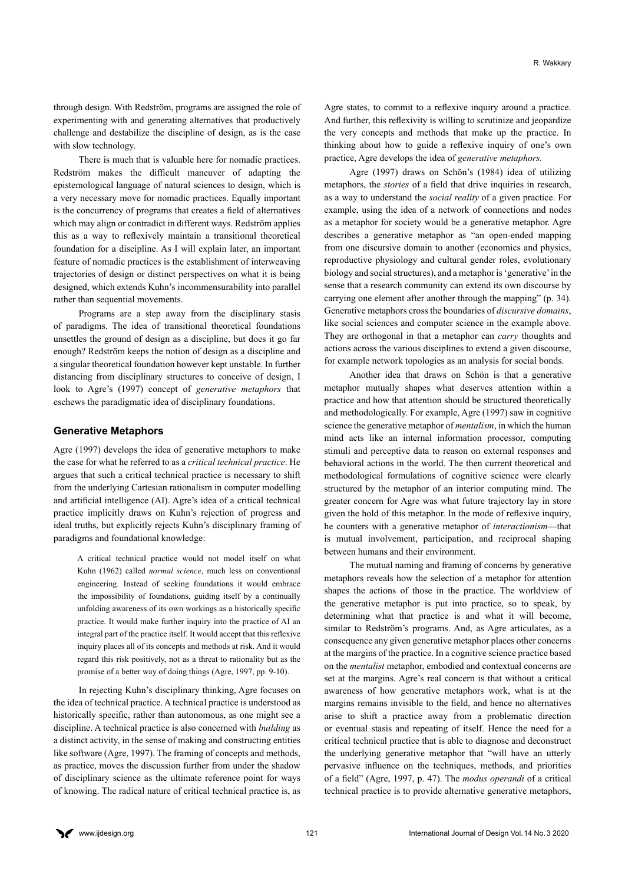through design. With Redström, programs are assigned the role of experimenting with and generating alternatives that productively challenge and destabilize the discipline of design, as is the case with slow technology.

There is much that is valuable here for nomadic practices. Redström makes the difficult maneuver of adapting the epistemological language of natural sciences to design, which is a very necessary move for nomadic practices. Equally important is the concurrency of programs that creates a field of alternatives which may align or contradict in different ways. Redström applies this as a way to reflexively maintain a transitional theoretical foundation for a discipline. As I will explain later, an important feature of nomadic practices is the establishment of interweaving trajectories of design or distinct perspectives on what it is being designed, which extends Kuhn's incommensurability into parallel rather than sequential movements.

Programs are a step away from the disciplinary stasis of paradigms. The idea of transitional theoretical foundations unsettles the ground of design as a discipline, but does it go far enough? Redström keeps the notion of design as a discipline and a singular theoretical foundation however kept unstable. In further distancing from disciplinary structures to conceive of design, I look to Agre's (1997) concept of *generative metaphors* that eschews the paradigmatic idea of disciplinary foundations.

#### **Generative Metaphors**

Agre (1997) develops the idea of generative metaphors to make the case for what he referred to as a *critical technical practice*. He argues that such a critical technical practice is necessary to shift from the underlying Cartesian rationalism in computer modelling and artificial intelligence (AI). Agre's idea of a critical technical practice implicitly draws on Kuhn's rejection of progress and ideal truths, but explicitly rejects Kuhn's disciplinary framing of paradigms and foundational knowledge:

A critical technical practice would not model itself on what Kuhn (1962) called *normal science*, much less on conventional engineering. Instead of seeking foundations it would embrace the impossibility of foundations, guiding itself by a continually unfolding awareness of its own workings as a historically specific practice. It would make further inquiry into the practice of AI an integral part of the practice itself. It would accept that this reflexive inquiry places all of its concepts and methods at risk. And it would regard this risk positively, not as a threat to rationality but as the promise of a better way of doing things (Agre, 1997, pp. 9-10).

In rejecting Kuhn's disciplinary thinking, Agre focuses on the idea of technical practice. A technical practice is understood as historically specific, rather than autonomous, as one might see a discipline. A technical practice is also concerned with *building* as a distinct activity, in the sense of making and constructing entities like software (Agre, 1997). The framing of concepts and methods, as practice, moves the discussion further from under the shadow of disciplinary science as the ultimate reference point for ways of knowing. The radical nature of critical technical practice is, as

Agre states, to commit to a reflexive inquiry around a practice. And further, this reflexivity is willing to scrutinize and jeopardize the very concepts and methods that make up the practice. In thinking about how to guide a reflexive inquiry of one's own practice, Agre develops the idea of *generative metaphors.* 

Agre (1997) draws on Schön's (1984) idea of utilizing metaphors, the *stories* of a field that drive inquiries in research, as a way to understand the *social reality* of a given practice. For example, using the idea of a network of connections and nodes as a metaphor for society would be a generative metaphor. Agre describes a generative metaphor as "an open-ended mapping from one discursive domain to another (economics and physics, reproductive physiology and cultural gender roles, evolutionary biology and social structures), and a metaphor is 'generative' in the sense that a research community can extend its own discourse by carrying one element after another through the mapping" (p. 34). Generative metaphors cross the boundaries of *discursive domains*, like social sciences and computer science in the example above. They are orthogonal in that a metaphor can *carry* thoughts and actions across the various disciplines to extend a given discourse, for example network topologies as an analysis for social bonds.

Another idea that draws on Schön is that a generative metaphor mutually shapes what deserves attention within a practice and how that attention should be structured theoretically and methodologically. For example, Agre (1997) saw in cognitive science the generative metaphor of *mentalism*, in which the human mind acts like an internal information processor, computing stimuli and perceptive data to reason on external responses and behavioral actions in the world. The then current theoretical and methodological formulations of cognitive science were clearly structured by the metaphor of an interior computing mind. The greater concern for Agre was what future trajectory lay in store given the hold of this metaphor. In the mode of reflexive inquiry, he counters with a generative metaphor of *interactionism*—that is mutual involvement, participation, and reciprocal shaping between humans and their environment.

The mutual naming and framing of concerns by generative metaphors reveals how the selection of a metaphor for attention shapes the actions of those in the practice. The worldview of the generative metaphor is put into practice, so to speak, by determining what that practice is and what it will become, similar to Redström's programs. And, as Agre articulates, as a consequence any given generative metaphor places other concerns at the margins of the practice. In a cognitive science practice based on the *mentalist* metaphor, embodied and contextual concerns are set at the margins. Agre's real concern is that without a critical awareness of how generative metaphors work, what is at the margins remains invisible to the field, and hence no alternatives arise to shift a practice away from a problematic direction or eventual stasis and repeating of itself. Hence the need for a critical technical practice that is able to diagnose and deconstruct the underlying generative metaphor that "will have an utterly pervasive influence on the techniques, methods, and priorities of a field" (Agre, 1997, p. 47). The *modus operandi* of a critical technical practice is to provide alternative generative metaphors,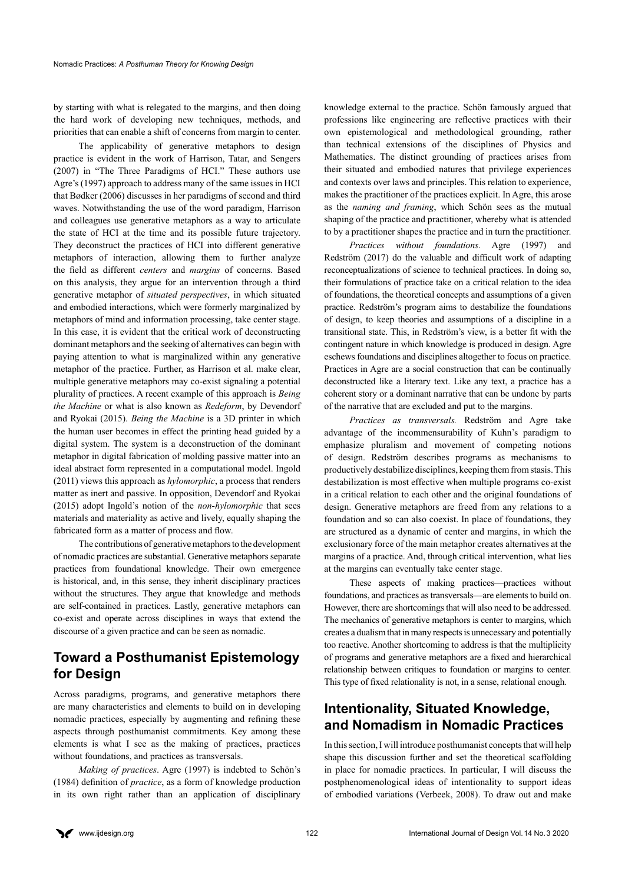by starting with what is relegated to the margins, and then doing the hard work of developing new techniques, methods, and priorities that can enable a shift of concerns from margin to center.

The applicability of generative metaphors to design practice is evident in the work of Harrison, Tatar, and Sengers (2007) in "The Three Paradigms of HCI." These authors use Agre's (1997) approach to address many of the same issues in HCI that Bødker (2006) discusses in her paradigms of second and third waves. Notwithstanding the use of the word paradigm, Harrison and colleagues use generative metaphors as a way to articulate the state of HCI at the time and its possible future trajectory. They deconstruct the practices of HCI into different generative metaphors of interaction, allowing them to further analyze the field as different *centers* and *margins* of concerns. Based on this analysis, they argue for an intervention through a third generative metaphor of *situated perspectives*, in which situated and embodied interactions, which were formerly marginalized by metaphors of mind and information processing, take center stage. In this case, it is evident that the critical work of deconstructing dominant metaphors and the seeking of alternatives can begin with paying attention to what is marginalized within any generative metaphor of the practice. Further, as Harrison et al. make clear, multiple generative metaphors may co-exist signaling a potential plurality of practices. A recent example of this approach is *Being the Machine* or what is also known as *Redeform*, by Devendorf and Ryokai (2015). *Being the Machine* is a 3D printer in which the human user becomes in effect the printing head guided by a digital system. The system is a deconstruction of the dominant metaphor in digital fabrication of molding passive matter into an ideal abstract form represented in a computational model. Ingold (2011) views this approach as *hylomorphic*, a process that renders matter as inert and passive. In opposition, Devendorf and Ryokai (2015) adopt Ingold's notion of the *non-hylomorphic* that sees materials and materiality as active and lively, equally shaping the fabricated form as a matter of process and flow.

The contributions of generative metaphors to the development of nomadic practices are substantial. Generative metaphors separate practices from foundational knowledge. Their own emergence is historical, and, in this sense, they inherit disciplinary practices without the structures. They argue that knowledge and methods are self-contained in practices. Lastly, generative metaphors can co-exist and operate across disciplines in ways that extend the discourse of a given practice and can be seen as nomadic.

# **Toward a Posthumanist Epistemology for Design**

Across paradigms, programs, and generative metaphors there are many characteristics and elements to build on in developing nomadic practices, especially by augmenting and refining these aspects through posthumanist commitments. Key among these elements is what I see as the making of practices, practices without foundations, and practices as transversals.

*Making of practices*. Agre (1997) is indebted to Schön's (1984) definition of *practice*, as a form of knowledge production in its own right rather than an application of disciplinary knowledge external to the practice. Schön famously argued that professions like engineering are reflective practices with their own epistemological and methodological grounding, rather than technical extensions of the disciplines of Physics and Mathematics. The distinct grounding of practices arises from their situated and embodied natures that privilege experiences and contexts over laws and principles. This relation to experience, makes the practitioner of the practices explicit. In Agre, this arose as the *naming and framing*, which Schön sees as the mutual shaping of the practice and practitioner, whereby what is attended to by a practitioner shapes the practice and in turn the practitioner.

*Practices without foundations.* Agre (1997) and Redström (2017) do the valuable and difficult work of adapting reconceptualizations of science to technical practices. In doing so, their formulations of practice take on a critical relation to the idea of foundations, the theoretical concepts and assumptions of a given practice. Redström's program aims to destabilize the foundations of design, to keep theories and assumptions of a discipline in a transitional state. This, in Redström's view, is a better fit with the contingent nature in which knowledge is produced in design. Agre eschews foundations and disciplines altogether to focus on practice. Practices in Agre are a social construction that can be continually deconstructed like a literary text. Like any text, a practice has a coherent story or a dominant narrative that can be undone by parts of the narrative that are excluded and put to the margins.

*Practices as transversals.* Redström and Agre take advantage of the incommensurability of Kuhn's paradigm to emphasize pluralism and movement of competing notions of design. Redström describes programs as mechanisms to productively destabilize disciplines, keeping them from stasis. This destabilization is most effective when multiple programs co-exist in a critical relation to each other and the original foundations of design. Generative metaphors are freed from any relations to a foundation and so can also coexist. In place of foundations, they are structured as a dynamic of center and margins, in which the exclusionary force of the main metaphor creates alternatives at the margins of a practice. And, through critical intervention, what lies at the margins can eventually take center stage.

These aspects of making practices—practices without foundations, and practices as transversals—are elements to build on. However, there are shortcomings that will also need to be addressed. The mechanics of generative metaphors is center to margins, which creates a dualism that in many respects is unnecessary and potentially too reactive. Another shortcoming to address is that the multiplicity of programs and generative metaphors are a fixed and hierarchical relationship between critiques to foundation or margins to center. This type of fixed relationality is not, in a sense, relational enough.

# **Intentionality, Situated Knowledge, and Nomadism in Nomadic Practices**

In this section, I will introduce posthumanist concepts that will help shape this discussion further and set the theoretical scaffolding in place for nomadic practices. In particular, I will discuss the postphenomenological ideas of intentionality to support ideas of embodied variations (Verbeek, 2008). To draw out and make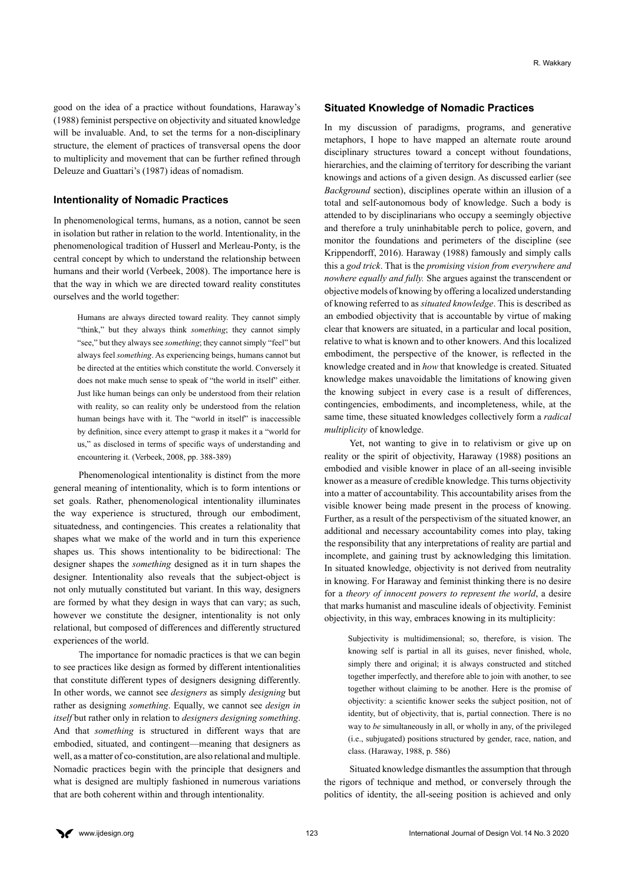good on the idea of a practice without foundations, Haraway's (1988) feminist perspective on objectivity and situated knowledge will be invaluable. And, to set the terms for a non-disciplinary structure, the element of practices of transversal opens the door to multiplicity and movement that can be further refined through Deleuze and Guattari's (1987) ideas of nomadism.

#### **Intentionality of Nomadic Practices**

In phenomenological terms, humans, as a notion, cannot be seen in isolation but rather in relation to the world. Intentionality, in the phenomenological tradition of Husserl and Merleau-Ponty, is the central concept by which to understand the relationship between humans and their world (Verbeek, 2008). The importance here is that the way in which we are directed toward reality constitutes ourselves and the world together:

Humans are always directed toward reality. They cannot simply "think," but they always think *something*; they cannot simply "see," but they always see *something*; they cannot simply "feel" but always feel *something*. As experiencing beings, humans cannot but be directed at the entities which constitute the world. Conversely it does not make much sense to speak of "the world in itself" either. Just like human beings can only be understood from their relation with reality, so can reality only be understood from the relation human beings have with it. The "world in itself" is inaccessible by definition, since every attempt to grasp it makes it a "world for us," as disclosed in terms of specific ways of understanding and encountering it. (Verbeek, 2008, pp. 388-389)

Phenomenological intentionality is distinct from the more general meaning of intentionality, which is to form intentions or set goals. Rather, phenomenological intentionality illuminates the way experience is structured, through our embodiment, situatedness, and contingencies. This creates a relationality that shapes what we make of the world and in turn this experience shapes us. This shows intentionality to be bidirectional: The designer shapes the *something* designed as it in turn shapes the designer. Intentionality also reveals that the subject-object is not only mutually constituted but variant. In this way, designers are formed by what they design in ways that can vary; as such, however we constitute the designer, intentionality is not only relational, but composed of differences and differently structured experiences of the world.

The importance for nomadic practices is that we can begin to see practices like design as formed by different intentionalities that constitute different types of designers designing differently. In other words, we cannot see *designers* as simply *designing* but rather as designing *something*. Equally, we cannot see *design in itself* but rather only in relation to *designers designing something*. And that *something* is structured in different ways that are embodied, situated, and contingent—meaning that designers as well, as a matter of co-constitution, are also relational and multiple. Nomadic practices begin with the principle that designers and what is designed are multiply fashioned in numerous variations that are both coherent within and through intentionality.

#### **Situated Knowledge of Nomadic Practices**

In my discussion of paradigms, programs, and generative metaphors, I hope to have mapped an alternate route around disciplinary structures toward a concept without foundations, hierarchies, and the claiming of territory for describing the variant knowings and actions of a given design. As discussed earlier (see *Background* section), disciplines operate within an illusion of a total and self-autonomous body of knowledge. Such a body is attended to by disciplinarians who occupy a seemingly objective and therefore a truly uninhabitable perch to police, govern, and monitor the foundations and perimeters of the discipline (see Krippendorff, 2016). Haraway (1988) famously and simply calls this a *god trick*. That is the *promising vision from everywhere and nowhere equally and fully.* She argues against the transcendent or objective models of knowing by offering a localized understanding of knowing referred to as *situated knowledge*. This is described as an embodied objectivity that is accountable by virtue of making clear that knowers are situated, in a particular and local position, relative to what is known and to other knowers. And this localized embodiment, the perspective of the knower, is reflected in the knowledge created and in *how* that knowledge is created. Situated knowledge makes unavoidable the limitations of knowing given the knowing subject in every case is a result of differences, contingencies, embodiments, and incompleteness, while, at the same time, these situated knowledges collectively form a *radical multiplicity* of knowledge.

Yet, not wanting to give in to relativism or give up on reality or the spirit of objectivity, Haraway (1988) positions an embodied and visible knower in place of an all-seeing invisible knower as a measure of credible knowledge. This turns objectivity into a matter of accountability. This accountability arises from the visible knower being made present in the process of knowing. Further, as a result of the perspectivism of the situated knower, an additional and necessary accountability comes into play, taking the responsibility that any interpretations of reality are partial and incomplete, and gaining trust by acknowledging this limitation. In situated knowledge, objectivity is not derived from neutrality in knowing. For Haraway and feminist thinking there is no desire for a *theory of innocent powers to represent the world*, a desire that marks humanist and masculine ideals of objectivity. Feminist objectivity, in this way, embraces knowing in its multiplicity:

Subjectivity is multidimensional; so, therefore, is vision. The knowing self is partial in all its guises, never finished, whole, simply there and original; it is always constructed and stitched together imperfectly, and therefore able to join with another, to see together without claiming to be another. Here is the promise of objectivity: a scientific knower seeks the subject position, not of identity, but of objectivity, that is, partial connection. There is no way to *be* simultaneously in all, or wholly in any, of the privileged (i.e., subjugated) positions structured by gender, race, nation, and class. (Haraway, 1988, p. 586)

Situated knowledge dismantles the assumption that through the rigors of technique and method, or conversely through the politics of identity, the all-seeing position is achieved and only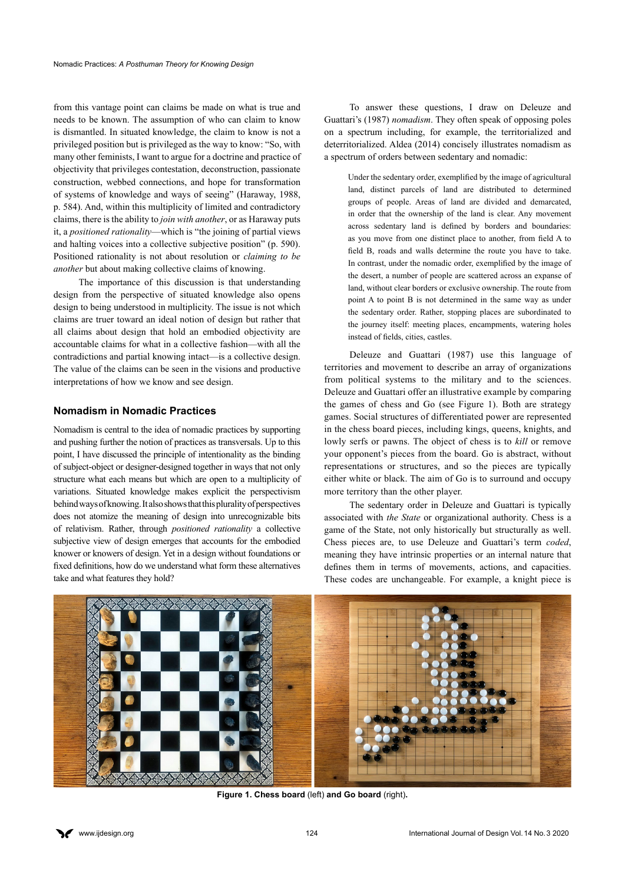from this vantage point can claims be made on what is true and needs to be known. The assumption of who can claim to know is dismantled. In situated knowledge, the claim to know is not a privileged position but is privileged as the way to know: "So, with many other feminists, I want to argue for a doctrine and practice of objectivity that privileges contestation, deconstruction, passionate construction, webbed connections, and hope for transformation of systems of knowledge and ways of seeing" (Haraway, 1988, p. 584). And, within this multiplicity of limited and contradictory claims, there is the ability to *join with another*, or as Haraway puts it, a *positioned rationality*—which is "the joining of partial views and halting voices into a collective subjective position" (p. 590). Positioned rationality is not about resolution or *claiming to be another* but about making collective claims of knowing.

The importance of this discussion is that understanding design from the perspective of situated knowledge also opens design to being understood in multiplicity. The issue is not which claims are truer toward an ideal notion of design but rather that all claims about design that hold an embodied objectivity are accountable claims for what in a collective fashion—with all the contradictions and partial knowing intact—is a collective design. The value of the claims can be seen in the visions and productive interpretations of how we know and see design.

#### **Nomadism in Nomadic Practices**

Nomadism is central to the idea of nomadic practices by supporting and pushing further the notion of practices as transversals. Up to this point, I have discussed the principle of intentionality as the binding of subject-object or designer-designed together in ways that not only structure what each means but which are open to a multiplicity of variations. Situated knowledge makes explicit the perspectivism behind ways of knowing. It also shows that this plurality of perspectives does not atomize the meaning of design into unrecognizable bits of relativism. Rather, through *positioned rationality* a collective subjective view of design emerges that accounts for the embodied knower or knowers of design. Yet in a design without foundations or fixed definitions, how do we understand what form these alternatives take and what features they hold?

To answer these questions, I draw on Deleuze and Guattari's (1987) *nomadism*. They often speak of opposing poles on a spectrum including, for example, the territorialized and deterritorialized. Aldea (2014) concisely illustrates nomadism as a spectrum of orders between sedentary and nomadic:

Under the sedentary order, exemplified by the image of agricultural land, distinct parcels of land are distributed to determined groups of people. Areas of land are divided and demarcated, in order that the ownership of the land is clear. Any movement across sedentary land is defined by borders and boundaries: as you move from one distinct place to another, from field A to field B, roads and walls determine the route you have to take. In contrast, under the nomadic order, exemplified by the image of the desert, a number of people are scattered across an expanse of land, without clear borders or exclusive ownership. The route from point A to point B is not determined in the same way as under the sedentary order. Rather, stopping places are subordinated to the journey itself: meeting places, encampments, watering holes instead of fields, cities, castles.

Deleuze and Guattari (1987) use this language of territories and movement to describe an array of organizations from political systems to the military and to the sciences. Deleuze and Guattari offer an illustrative example by comparing the games of chess and Go (see Figure 1). Both are strategy games. Social structures of differentiated power are represented in the chess board pieces, including kings, queens, knights, and lowly serfs or pawns. The object of chess is to *kill* or remove your opponent's pieces from the board. Go is abstract, without representations or structures, and so the pieces are typically either white or black. The aim of Go is to surround and occupy more territory than the other player.

The sedentary order in Deleuze and Guattari is typically associated with *the State* or organizational authority. Chess is a game of the State, not only historically but structurally as well. Chess pieces are, to use Deleuze and Guattari's term *coded*, meaning they have intrinsic properties or an internal nature that defines them in terms of movements, actions, and capacities. These codes are unchangeable. For example, a knight piece is



**Figure 1. Chess board** (left) **and Go board** (right)**.**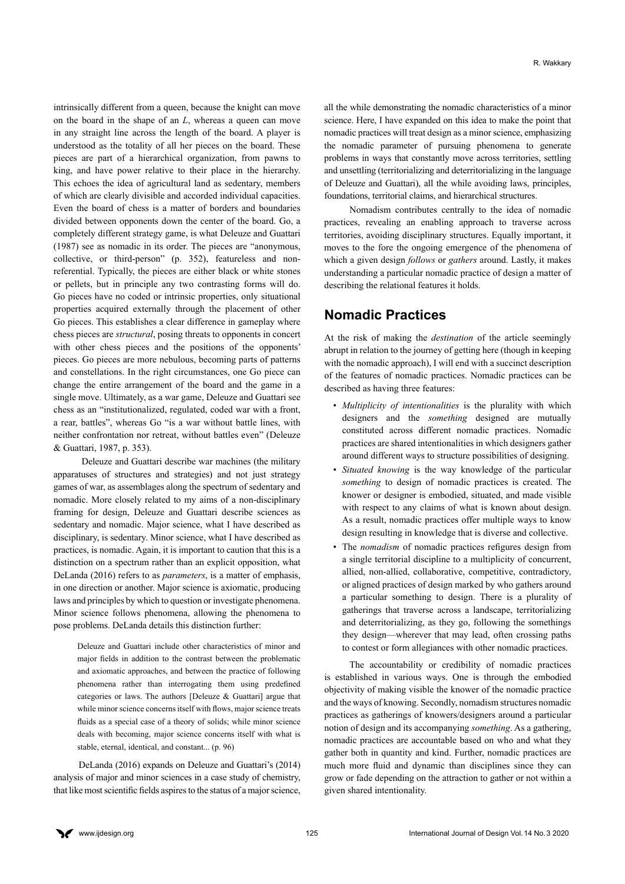intrinsically different from a queen, because the knight can move on the board in the shape of an *L*, whereas a queen can move in any straight line across the length of the board. A player is understood as the totality of all her pieces on the board. These pieces are part of a hierarchical organization, from pawns to king, and have power relative to their place in the hierarchy. This echoes the idea of agricultural land as sedentary, members of which are clearly divisible and accorded individual capacities. Even the board of chess is a matter of borders and boundaries divided between opponents down the center of the board. Go, a completely different strategy game, is what Deleuze and Guattari (1987) see as nomadic in its order. The pieces are "anonymous, collective, or third-person" (p. 352), featureless and nonreferential. Typically, the pieces are either black or white stones or pellets, but in principle any two contrasting forms will do. Go pieces have no coded or intrinsic properties, only situational properties acquired externally through the placement of other Go pieces. This establishes a clear difference in gameplay where chess pieces are *structural*, posing threats to opponents in concert with other chess pieces and the positions of the opponents' pieces. Go pieces are more nebulous, becoming parts of patterns and constellations. In the right circumstances, one Go piece can change the entire arrangement of the board and the game in a single move. Ultimately, as a war game, Deleuze and Guattari see chess as an "institutionalized, regulated, coded war with a front, a rear, battles", whereas Go "is a war without battle lines, with neither confrontation nor retreat, without battles even" (Deleuze & Guattari, 1987, p. 353).

 Deleuze and Guattari describe war machines (the military apparatuses of structures and strategies) and not just strategy games of war, as assemblages along the spectrum of sedentary and nomadic. More closely related to my aims of a non-disciplinary framing for design, Deleuze and Guattari describe sciences as sedentary and nomadic. Major science, what I have described as disciplinary, is sedentary. Minor science, what I have described as practices, is nomadic. Again, it is important to caution that this is a distinction on a spectrum rather than an explicit opposition, what DeLanda (2016) refers to as *parameters*, is a matter of emphasis, in one direction or another. Major science is axiomatic, producing laws and principles by which to question or investigate phenomena. Minor science follows phenomena, allowing the phenomena to pose problems. DeLanda details this distinction further:

Deleuze and Guattari include other characteristics of minor and major fields in addition to the contrast between the problematic and axiomatic approaches, and between the practice of following phenomena rather than interrogating them using predefined categories or laws. The authors [Deleuze  $\&$  Guattari] argue that while minor science concerns itself with flows, major science treats fluids as a special case of a theory of solids; while minor science deals with becoming, major science concerns itself with what is stable, eternal, identical, and constant... (p. 96)

DeLanda (2016) expands on Deleuze and Guattari's (2014) analysis of major and minor sciences in a case study of chemistry, that like most scientific fields aspires to the status of a major science, all the while demonstrating the nomadic characteristics of a minor science. Here, I have expanded on this idea to make the point that nomadic practices will treat design as a minor science, emphasizing the nomadic parameter of pursuing phenomena to generate problems in ways that constantly move across territories, settling and unsettling (territorializing and deterritorializing in the language of Deleuze and Guattari), all the while avoiding laws, principles, foundations, territorial claims, and hierarchical structures.

Nomadism contributes centrally to the idea of nomadic practices, revealing an enabling approach to traverse across territories, avoiding disciplinary structures. Equally important, it moves to the fore the ongoing emergence of the phenomena of which a given design *follows* or *gathers* around. Lastly, it makes understanding a particular nomadic practice of design a matter of describing the relational features it holds.

### **Nomadic Practices**

At the risk of making the *destination* of the article seemingly abrupt in relation to the journey of getting here (though in keeping with the nomadic approach), I will end with a succinct description of the features of nomadic practices. Nomadic practices can be described as having three features:

- *Multiplicity of intentionalities* is the plurality with which designers and the *something* designed are mutually constituted across different nomadic practices. Nomadic practices are shared intentionalities in which designers gather around different ways to structure possibilities of designing.
- *Situated knowing* is the way knowledge of the particular *something* to design of nomadic practices is created. The knower or designer is embodied, situated, and made visible with respect to any claims of what is known about design. As a result, nomadic practices offer multiple ways to know design resulting in knowledge that is diverse and collective.
- The *nomadism* of nomadic practices refigures design from a single territorial discipline to a multiplicity of concurrent, allied, non-allied, collaborative, competitive, contradictory, or aligned practices of design marked by who gathers around a particular something to design. There is a plurality of gatherings that traverse across a landscape, territorializing and deterritorializing, as they go, following the somethings they design—wherever that may lead, often crossing paths to contest or form allegiances with other nomadic practices.

The accountability or credibility of nomadic practices is established in various ways. One is through the embodied objectivity of making visible the knower of the nomadic practice and the ways of knowing. Secondly, nomadism structures nomadic practices as gatherings of knowers/designers around a particular notion of design and its accompanying *something*. As a gathering, nomadic practices are accountable based on who and what they gather both in quantity and kind. Further, nomadic practices are much more fluid and dynamic than disciplines since they can grow or fade depending on the attraction to gather or not within a given shared intentionality.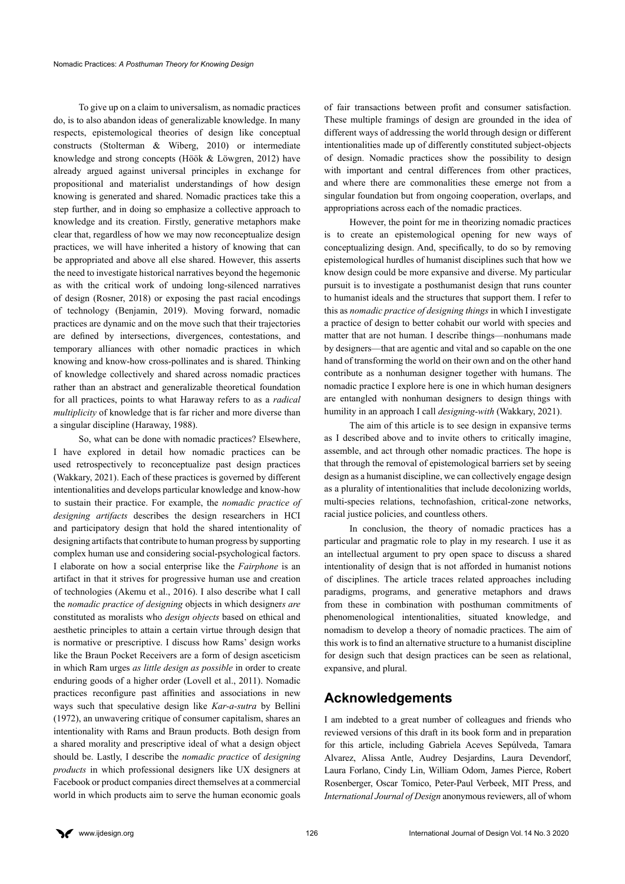To give up on a claim to universalism, as nomadic practices do, is to also abandon ideas of generalizable knowledge. In many respects, epistemological theories of design like conceptual constructs (Stolterman & Wiberg, 2010) or intermediate knowledge and strong concepts (Höök & Löwgren, 2012) have already argued against universal principles in exchange for propositional and materialist understandings of how design knowing is generated and shared. Nomadic practices take this a step further, and in doing so emphasize a collective approach to knowledge and its creation. Firstly, generative metaphors make clear that, regardless of how we may now reconceptualize design practices, we will have inherited a history of knowing that can be appropriated and above all else shared. However, this asserts the need to investigate historical narratives beyond the hegemonic as with the critical work of undoing long-silenced narratives of design (Rosner, 2018) or exposing the past racial encodings of technology (Benjamin, 2019). Moving forward, nomadic practices are dynamic and on the move such that their trajectories are defined by intersections, divergences, contestations, and temporary alliances with other nomadic practices in which knowing and know-how cross-pollinates and is shared. Thinking of knowledge collectively and shared across nomadic practices rather than an abstract and generalizable theoretical foundation for all practices, points to what Haraway refers to as a *radical multiplicity* of knowledge that is far richer and more diverse than a singular discipline (Haraway, 1988).

So, what can be done with nomadic practices? Elsewhere, I have explored in detail how nomadic practices can be used retrospectively to reconceptualize past design practices (Wakkary, 2021). Each of these practices is governed by different intentionalities and develops particular knowledge and know-how to sustain their practice. For example, the *nomadic practice of designing artifacts* describes the design researchers in HCI and participatory design that hold the shared intentionality of designing artifacts that contribute to human progress by supporting complex human use and considering social-psychological factors. I elaborate on how a social enterprise like the *Fairphone* is an artifact in that it strives for progressive human use and creation of technologies (Akemu et al., 2016). I also describe what I call the *nomadic practice of designing* objects in which designer*s are*  constituted as moralists who *design objects* based on ethical and aesthetic principles to attain a certain virtue through design that is normative or prescriptive. I discuss how Rams' design works like the Braun Pocket Receivers are a form of design asceticism in which Ram urges *as little design as possible* in order to create enduring goods of a higher order (Lovell et al., 2011). Nomadic practices reconfigure past affinities and associations in new ways such that speculative design like *Kar-a-sutra* by Bellini (1972), an unwavering critique of consumer capitalism, shares an intentionality with Rams and Braun products. Both design from a shared morality and prescriptive ideal of what a design object should be. Lastly, I describe the *nomadic practice* of *designing products* in which professional designers like UX designers at Facebook or product companies direct themselves at a commercial world in which products aim to serve the human economic goals

of fair transactions between profit and consumer satisfaction. These multiple framings of design are grounded in the idea of different ways of addressing the world through design or different intentionalities made up of differently constituted subject-objects of design. Nomadic practices show the possibility to design with important and central differences from other practices, and where there are commonalities these emerge not from a singular foundation but from ongoing cooperation, overlaps, and appropriations across each of the nomadic practices.

However, the point for me in theorizing nomadic practices is to create an epistemological opening for new ways of conceptualizing design. And, specifically, to do so by removing epistemological hurdles of humanist disciplines such that how we know design could be more expansive and diverse. My particular pursuit is to investigate a posthumanist design that runs counter to humanist ideals and the structures that support them. I refer to this as *nomadic practice of designing things* in which I investigate a practice of design to better cohabit our world with species and matter that are not human. I describe things—nonhumans made by designers—that are agentic and vital and so capable on the one hand of transforming the world on their own and on the other hand contribute as a nonhuman designer together with humans. The nomadic practice I explore here is one in which human designers are entangled with nonhuman designers to design things with humility in an approach I call *designing-with* (Wakkary, 2021).

The aim of this article is to see design in expansive terms as I described above and to invite others to critically imagine, assemble, and act through other nomadic practices. The hope is that through the removal of epistemological barriers set by seeing design as a humanist discipline, we can collectively engage design as a plurality of intentionalities that include decolonizing worlds, multi-species relations, technofashion, critical-zone networks, racial justice policies, and countless others.

In conclusion, the theory of nomadic practices has a particular and pragmatic role to play in my research. I use it as an intellectual argument to pry open space to discuss a shared intentionality of design that is not afforded in humanist notions of disciplines. The article traces related approaches including paradigms, programs, and generative metaphors and draws from these in combination with posthuman commitments of phenomenological intentionalities, situated knowledge, and nomadism to develop a theory of nomadic practices. The aim of this work is to find an alternative structure to a humanist discipline for design such that design practices can be seen as relational, expansive, and plural.

# **Acknowledgements**

I am indebted to a great number of colleagues and friends who reviewed versions of this draft in its book form and in preparation for this article, including Gabriela Aceves Sepúlveda, Tamara Alvarez, Alissa Antle, Audrey Desjardins, Laura Devendorf, Laura Forlano, Cindy Lin, William Odom, James Pierce, Robert Rosenberger, Oscar Tomico, Peter-Paul Verbeek, MIT Press, and *International Journal of Design* anonymous reviewers, all of whom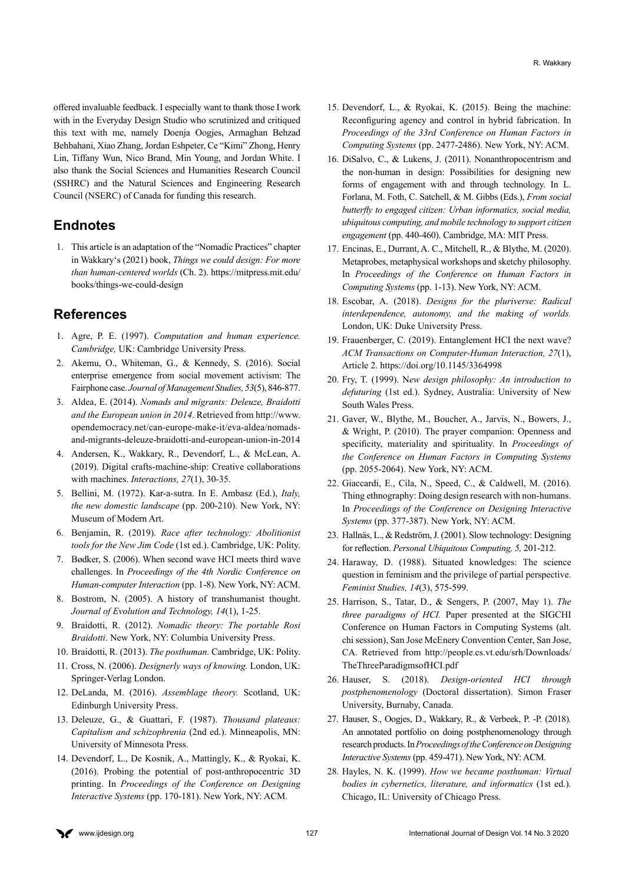offered invaluable feedback. I especially want to thank those I work with in the Everyday Design Studio who scrutinized and critiqued this text with me, namely Doenja Oogjes, Armaghan Behzad Behbahani, Xiao Zhang, Jordan Eshpeter, Ce "Kimi" Zhong, Henry Lin, Tiffany Wun, Nico Brand, Min Young, and Jordan White. I also thank the Social Sciences and Humanities Research Council (SSHRC) and the Natural Sciences and Engineering Research Council (NSERC) of Canada for funding this research.

### **Endnotes**

<span id="page-10-0"></span>[1.](#page-0-0) This article is an adaptation of the "Nomadic Practices" chapter in Wakkary's (2021) book, *Things we could design: For more than human-centered worlds* (Ch. 2). [https://mitpress.mit.edu/](https://mitpress.mit.edu/books/things-we-could-design) [books/things-we-could-design](https://mitpress.mit.edu/books/things-we-could-design)

### **References**

- 1. Agre, P. E. (1997). *Computation and human experience. Cambridge,* UK: Cambridge University Press.
- 2. Akemu, O., Whiteman, G., & Kennedy, S. (2016). Social enterprise emergence from social movement activism: The Fairphone case. *Journal of Management Studies, 53*(5), 846-877.
- 3. Aldea, E. (2014). *Nomads and migrants: Deleuze, Braidotti and the European union in 2014*. Retrieved from [http://www.](http://www.opendemocracy.net/can-europe-make-it/eva-aldea/nomads-and-migrants-deleuze-braidotti-and-european-union-in-2014
) [opendemocracy.net/can-europe-make-it/eva-aldea/nomads](http://www.opendemocracy.net/can-europe-make-it/eva-aldea/nomads-and-migrants-deleuze-braidotti-and-european-union-in-2014
)[and-migrants-deleuze-braidotti-and-european-union-in-2014](http://www.opendemocracy.net/can-europe-make-it/eva-aldea/nomads-and-migrants-deleuze-braidotti-and-european-union-in-2014
)
- 4. Andersen, K., Wakkary, R., Devendorf, L., & McLean, A. (2019). Digital crafts-machine-ship: Creative collaborations with machines. *Interactions, 27*(1), 30-35.
- 5. Bellini, M. (1972). Kar-a-sutra. In E. Ambasz (Ed.), *Italy, the new domestic landscape* (pp. 200-210). New York, NY: Museum of Modern Art.
- 6. Benjamin, R. (2019). *Race after technology: Abolitionist tools for the New Jim Code* (1st ed.). Cambridge, UK: Polity.
- 7. Bødker, S. (2006). When second wave HCI meets third wave challenges. In *Proceedings of the 4th Nordic Conference on Human-computer Interaction* (pp. 1-8). New York, NY: ACM.
- 8. Bostrom, N. (2005). A history of transhumanist thought. *Journal of Evolution and Technology, 14*(1), 1-25.
- 9. Braidotti, R. (2012). *Nomadic theory: The portable Rosi Braidotti*. New York, NY: Columbia University Press.
- 10. Braidotti, R. (2013). *The posthuman.* Cambridge, UK: Polity.
- 11. Cross, N. (2006). *Designerly ways of knowing.* London, UK: Springer-Verlag London.
- 12. DeLanda, M. (2016). *Assemblage theory.* Scotland, UK: Edinburgh University Press.
- 13. Deleuze, G., & Guattari, F. (1987). *Thousand plateaus: Capitalism and schizophrenia* (2nd ed.). Minneapolis, MN: University of Minnesota Press.
- 14. Devendorf, L., De Kosnik, A., Mattingly, K., & Ryokai, K. (2016). Probing the potential of post-anthropocentric 3D printing. In *Proceedings of the Conference on Designing Interactive Systems* (pp. 170-181). New York, NY: ACM.
- 15. Devendorf, L., & Ryokai, K. (2015). Being the machine: Reconfiguring agency and control in hybrid fabrication. In *Proceedings of the 33rd Conference on Human Factors in Computing Systems* (pp. 2477-2486). New York, NY: ACM.
- 16. DiSalvo, C., & Lukens, J. (2011). Nonanthropocentrism and the non-human in design: Possibilities for designing new forms of engagement with and through technology. In L. Forlana, M. Foth, C. Satchell, & M. Gibbs (Eds.), *From social butterfly to engaged citizen: Urban informatics, social media, ubiquitous computing, and mobile technology to support citizen engagement* (pp. 440-460). Cambridge, MA: MIT Press.
- 17. Encinas, E., Durrant, A. C., Mitchell, R., & Blythe, M. (2020). Metaprobes, metaphysical workshops and sketchy philosophy. In *Proceedings of the Conference on Human Factors in Computing Systems* (pp. 1-13). New York, NY: ACM.
- 18. Escobar, A. (2018). *Designs for the pluriverse: Radical interdependence, autonomy, and the making of worlds.*  London, UK: Duke University Press.
- 19. Frauenberger, C. (2019). Entanglement HCI the next wave? *ACM Transactions on Computer-Human Interaction, 27*(1), Article 2.<https://doi.org/10.1145/3364998>
- 20. Fry, T. (1999). N*ew design philosophy: An introduction to defuturing* (1st ed.). Sydney, Australia: University of New South Wales Press.
- 21. Gaver, W., Blythe, M., Boucher, A., Jarvis, N., Bowers, J., & Wright, P. (2010). The prayer companion: Openness and specificity, materiality and spirituality. In *Proceedings of the Conference on Human Factors in Computing Systems*  (pp. 2055-2064). New York, NY: ACM.
- 22. Giaccardi, E., Cila, N., Speed, C., & Caldwell, M. (2016). Thing ethnography: Doing design research with non-humans. In *Proceedings of the Conference on Designing Interactive Systems* (pp. 377-387). New York, NY: ACM.
- 23. Hallnäs, L., & Redström, J. (2001). Slow technology: Designing for reflection. *Personal Ubiquitous Computing, 5,* 201-212.
- 24. Haraway, D. (1988). Situated knowledges: The science question in feminism and the privilege of partial perspective. *Feminist Studies, 14*(3), 575-599.
- 25. Harrison, S., Tatar, D., & Sengers, P. (2007, May 1). *The three paradigms of HCI.* Paper presented at the SIGCHI Conference on Human Factors in Computing Systems (alt. chi session), San Jose McEnery Convention Center, San Jose, CA. Retrieved from [http://people.cs.vt.edu/srh/Downloads/](http://people.cs.vt.edu/srh/Downloads/TheThreeParadigmsofHCI.pdf) [TheThreeParadigmsofHCI.pdf](http://people.cs.vt.edu/srh/Downloads/TheThreeParadigmsofHCI.pdf)
- 26. Hauser, S. (2018). *Design-oriented HCI through postphenomenology* (Doctoral dissertation). Simon Fraser University, Burnaby, Canada.
- 27. Hauser, S., Oogjes, D., Wakkary, R., & Verbeek, P. -P. (2018). An annotated portfolio on doing postphenomenology through research products. In *Proceedings of the Conference on Designing Interactive Systems* (pp. 459-471). New York, NY: ACM.
- 28. Hayles, N. K. (1999). *How we became posthuman: Virtual bodies in cybernetics, literature, and informatics* (1st ed.). Chicago, IL: University of Chicago Press.